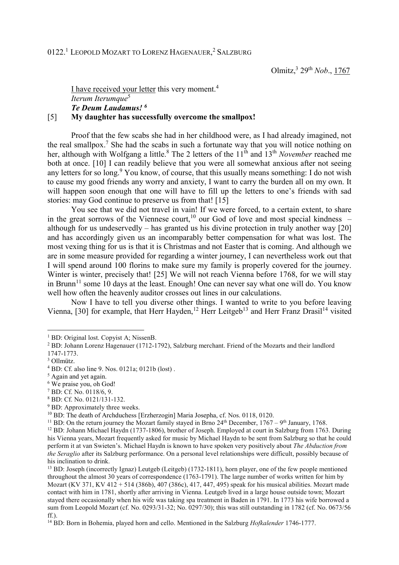I have received your letter this very moment.<sup>4</sup>  *Iterum Iterumque*<sup>5</sup>  *Te Deum Laudamus! <sup>6</sup>*

## [5] **My daughter has successfully overcome the smallpox!**

 Proof that the few scabs she had in her childhood were, as I had already imagined, not the real smallpox.<sup>7</sup> She had the scabs in such a fortunate way that you will notice nothing on her, although with Wolfgang a little.<sup>8</sup> The 2 letters of the 11<sup>th</sup> and 13<sup>th</sup> *November* reached me both at once. [10] I can readily believe that you were all somewhat anxious after not seeing any letters for so long.<sup>9</sup> You know, of course, that this usually means something: I do not wish to cause my good friends any worry and anxiety, I want to carry the burden all on my own. It will happen soon enough that one will have to fill up the letters to one's friends with sad stories: may God continue to preserve us from that! [15]

 You see that we did not travel in vain! If we were forced, to a certain extent, to share in the great sorrows of the Viennese court,<sup>10</sup> our God of love and most special kindness – although for us undeservedly – has granted us his divine protection in truly another way [20] and has accordingly given us an incomparably better compensation for what was lost. The most vexing thing for us is that it is Christmas and not Easter that is coming. And although we are in some measure provided for regarding a winter journey, I can nevertheless work out that I will spend around 100 florins to make sure my family is properly covered for the journey. Winter is winter, precisely that! [25] We will not reach Vienna before 1768, for we will stay in Brunn<sup>11</sup> some 10 days at the least. Enough! One can never say what one will do. You know well how often the heavenly auditor crosses out lines in our calculations.

 Now I have to tell you diverse other things. I wanted to write to you before leaving Vienna, [30] for example, that Herr Hayden,<sup>12</sup> Herr Leitgeb<sup>13</sup> and Herr Franz Drasil<sup>14</sup> visited

6 We praise you, oh God!

- 8 BD: Cf. No. 0121/131-132.
- <sup>9</sup> BD: Approximately three weeks.

<sup>10</sup> BD: The death of Archduchess [Erzherzogin] Maria Josepha, cf. Nos. 0118, 0120.

<sup>12</sup> BD: Johann Michael Haydn (1737-1806), brother of Joseph. Employed at court in Salzburg from 1763. During his Vienna years, Mozart frequently asked for music by Michael Haydn to be sent from Salzburg so that he could perform it at van Swieten's. Michael Haydn is known to have spoken very positively about *The Abduction from the Seraglio* after its Salzburg performance. On a personal level relationships were difficult, possibly because of his inclination to drink.

<sup>13</sup> BD: Joseph (incorrectly Ignaz) Leutgeb (Leitgeb) (1732-1811), horn player, one of the few people mentioned throughout the almost 30 years of correspondence (1763-1791). The large number of works written for him by Mozart (KV 371, KV 412 + 514 (386b), 407 (386c), 417, 447, 495) speak for his musical abilities. Mozart made contact with him in 1781, shortly after arriving in Vienna. Leutgeb lived in a large house outside town; Mozart stayed there occasionally when his wife was taking spa treatment in Baden in 1791. In 1773 his wife borrowed a sum from Leopold Mozart (cf. No. 0293/31-32; No. 0297/30); this was still outstanding in 1782 (cf. No. 0673/56 ff.).

<sup>14</sup> BD: Born in Bohemia, played horn and cello. Mentioned in the Salzburg *Hofkalender* 1746-1777.

 1 BD: Original lost. Copyist A; NissenB.

<sup>&</sup>lt;sup>2</sup> BD: Johann Lorenz Hagenauer (1712-1792), Salzburg merchant. Friend of the Mozarts and their landlord

<sup>1747-1773.</sup>

<sup>3</sup> Ollmütz.

<sup>4</sup> BD: Cf. also line 9. Nos. 0121a; 0121b (lost) .

<sup>5</sup> Again and yet again.

<sup>7</sup> BD: Cf. No. 0118/6, 9.

<sup>&</sup>lt;sup>11</sup> BD: On the return journey the Mozart family stayed in Brno  $24<sup>th</sup>$  December,  $1767 - 9<sup>th</sup>$  January, 1768.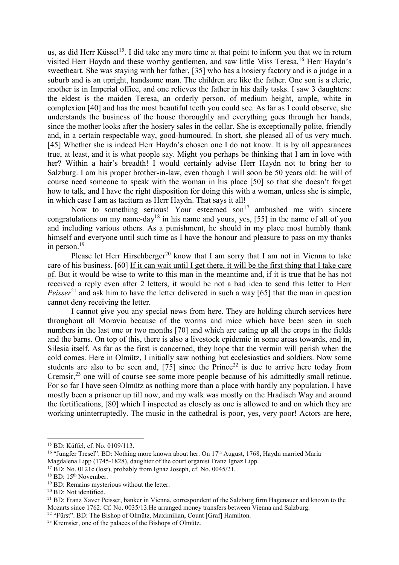us, as did Herr Küssel<sup>15</sup>. I did take any more time at that point to inform you that we in return visited Herr Haydn and these worthy gentlemen, and saw little Miss Teresa,<sup>16</sup> Herr Haydn's sweetheart. She was staying with her father, [35] who has a hosiery factory and is a judge in a suburb and is an upright, handsome man. The children are like the father. One son is a cleric, another is in Imperial office, and one relieves the father in his daily tasks. I saw 3 daughters: the eldest is the maiden Teresa, an orderly person, of medium height, ample, white in complexion [40] and has the most beautiful teeth you could see. As far as I could observe, she understands the business of the house thoroughly and everything goes through her hands, since the mother looks after the hosiery sales in the cellar. She is exceptionally polite, friendly and, in a certain respectable way, good-humoured. In short, she pleased all of us very much. [45] Whether she is indeed Herr Haydn's chosen one I do not know. It is by all appearances true, at least, and it is what people say. Might you perhaps be thinking that I am in love with her? Within a hair's breadth! I would certainly advise Herr Haydn not to bring her to Salzburg. I am his proper brother-in-law, even though I will soon be 50 years old: he will of course need someone to speak with the woman in his place [50] so that she doesn't forget how to talk, and I have the right disposition for doing this with a woman, unless she is simple, in which case I am as taciturn as Herr Haydn. That says it all!

Now to something serious! Your esteemed son<sup>17</sup> ambushed me with sincere congratulations on my name-day<sup>18</sup> in his name and yours, yes, [55] in the name of all of you and including various others. As a punishment, he should in my place most humbly thank himself and everyone until such time as I have the honour and pleasure to pass on my thanks in person.<sup>19</sup>

Please let Herr Hirschberger<sup>20</sup> know that I am sorry that I am not in Vienna to take care of his business. [60] If it can wait until I get there, it will be the first thing that I take care of. But it would be wise to write to this man in the meantime and, if it is true that he has not received a reply even after 2 letters, it would be not a bad idea to send this letter to Herr *Peisser*<sup>21</sup> and ask him to have the letter delivered in such a way [65] that the man in question cannot deny receiving the letter.

 I cannot give you any special news from here. They are holding church services here throughout all Moravia because of the worms and mice which have been seen in such numbers in the last one or two months [70] and which are eating up all the crops in the fields and the barns. On top of this, there is also a livestock epidemic in some areas towards, and in, Silesia itself. As far as the first is concerned, they hope that the vermin will perish when the cold comes. Here in Olmütz, I initially saw nothing but ecclesiastics and soldiers. Now some students are also to be seen and,  $[75]$  since the Prince<sup>22</sup> is due to arrive here today from Cremsir,<sup>23</sup> one will of course see some more people because of his admittedly small retinue. For so far I have seen Olmütz as nothing more than a place with hardly any population. I have mostly been a prisoner up till now, and my walk was mostly on the Hradisch Way and around the fortifications, [80] which I inspected as closely as one is allowed to and on which they are working uninterruptedly. The music in the cathedral is poor, yes, very poor! Actors are here,

 $\overline{a}$ 

<sup>15</sup> BD: Küffel, cf. No. 0109/113.

<sup>&</sup>lt;sup>16</sup> "Jungfer Tresel". BD: Nothing more known about her. On  $17<sup>th</sup>$  August, 1768, Haydn married Maria Magdalena Lipp (1745-1828), daughter of the court organist Franz Ignaz Lipp.

<sup>&</sup>lt;sup>17</sup> BD: No. 0121c (lost), probably from Ignaz Joseph, cf. No. 0045/21.

<sup>&</sup>lt;sup>18</sup> BD: 15<sup>th</sup> November.

<sup>&</sup>lt;sup>19</sup> BD: Remains mysterious without the letter.

<sup>20</sup> BD: Not identified.

<sup>&</sup>lt;sup>21</sup> BD: Franz Xaver Peisser, banker in Vienna, correspondent of the Salzburg firm Hagenauer and known to the Mozarts since 1762. Cf. No. 0035/13.He arranged money transfers between Vienna and Salzburg.

<sup>&</sup>lt;sup>22</sup> "Fürst". BD: The Bishop of Olmütz, Maximilian, Count [Graf] Hamilton.

<sup>23</sup> Kremsier, one of the palaces of the Bishops of Olmütz.